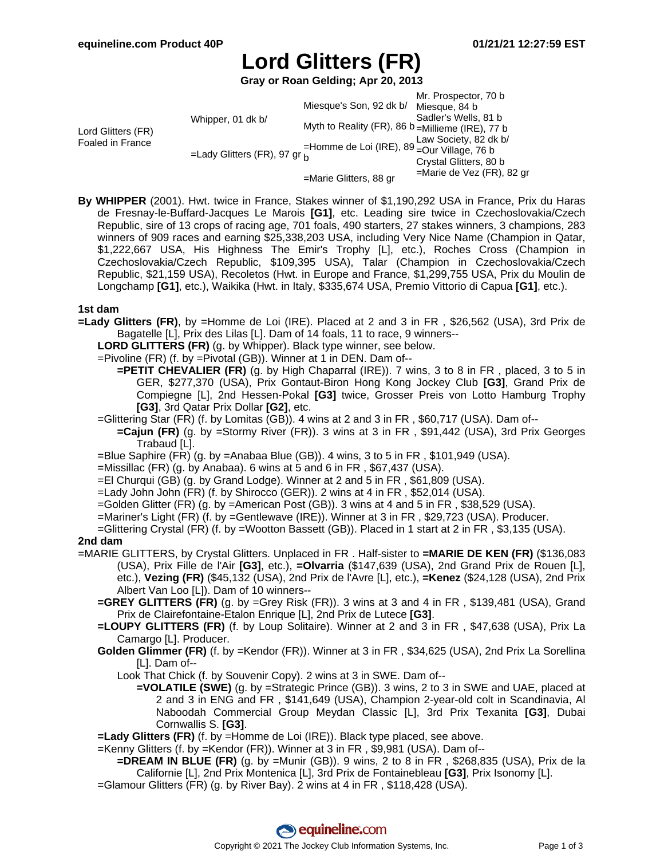# **Lord Glitters (FR)**

**Gray or Roan Gelding; Apr 20, 2013**

|  |                        | Mr. Prospector, 70 b                                                                                                                                                           |
|--|------------------------|--------------------------------------------------------------------------------------------------------------------------------------------------------------------------------|
|  |                        |                                                                                                                                                                                |
|  |                        | Sadler's Wells, 81 b                                                                                                                                                           |
|  |                        |                                                                                                                                                                                |
|  |                        | Law Society, 82 dk b/                                                                                                                                                          |
|  |                        |                                                                                                                                                                                |
|  |                        | Crystal Glitters, 80 b                                                                                                                                                         |
|  | =Marie Glitters, 88 gr | $=$ Marie de Vez (FR), 82 gr                                                                                                                                                   |
|  | Whipper, 01 dk b/      | Miesque's Son, 92 dk b/ Miesque, 84 b<br>Myth to Reality (FR), 86 b = Millieme (IRE), 77 b<br>=Homme de Loi (IRE), $89 -$ Our Village, 76 b<br>=Lady Glitters (FR), 97 gr $_h$ |

**By WHIPPER** (2001). Hwt. twice in France, Stakes winner of \$1,190,292 USA in France, Prix du Haras de Fresnay-le-Buffard-Jacques Le Marois **[G1]**, etc. Leading sire twice in Czechoslovakia/Czech Republic, sire of 13 crops of racing age, 701 foals, 490 starters, 27 stakes winners, 3 champions, 283 winners of 909 races and earning \$25,338,203 USA, including Very Nice Name (Champion in Qatar, \$1,222,667 USA, His Highness The Emir's Trophy [L], etc.), Roches Cross (Champion in Czechoslovakia/Czech Republic, \$109,395 USA), Talar (Champion in Czechoslovakia/Czech Republic, \$21,159 USA), Recoletos (Hwt. in Europe and France, \$1,299,755 USA, Prix du Moulin de Longchamp **[G1]**, etc.), Waikika (Hwt. in Italy, \$335,674 USA, Premio Vittorio di Capua **[G1]**, etc.).

### **1st dam**

**=Lady Glitters (FR)**, by =Homme de Loi (IRE). Placed at 2 and 3 in FR , \$26,562 (USA), 3rd Prix de Bagatelle [L], Prix des Lilas [L]. Dam of 14 foals, 11 to race, 9 winners--

**LORD GLITTERS (FR)** (g. by Whipper). Black type winner, see below.

=Pivoline (FR) (f. by =Pivotal (GB)). Winner at 1 in DEN. Dam of--

**=PETIT CHEVALIER (FR)** (g. by High Chaparral (IRE)). 7 wins, 3 to 8 in FR , placed, 3 to 5 in GER, \$277,370 (USA), Prix Gontaut-Biron Hong Kong Jockey Club **[G3]**, Grand Prix de Compiegne [L], 2nd Hessen-Pokal **[G3]** twice, Grosser Preis von Lotto Hamburg Trophy **[G3]**, 3rd Qatar Prix Dollar **[G2]**, etc.

- =Glittering Star (FR) (f. by Lomitas (GB)). 4 wins at 2 and 3 in FR , \$60,717 (USA). Dam of--
	- **=Cajun (FR)** (g. by =Stormy River (FR)). 3 wins at 3 in FR , \$91,442 (USA), 3rd Prix Georges Trabaud [L].
- =Blue Saphire (FR) (g. by =Anabaa Blue (GB)). 4 wins, 3 to 5 in FR , \$101,949 (USA).

 $=$ Missillac (FR) (g. by Anabaa). 6 wins at 5 and 6 in FR, \$67,437 (USA).

=El Churqui (GB) (g. by Grand Lodge). Winner at 2 and 5 in FR , \$61,809 (USA).

=Lady John John (FR) (f. by Shirocco (GER)). 2 wins at 4 in FR , \$52,014 (USA).

=Golden Glitter (FR) (g. by =American Post (GB)). 3 wins at 4 and 5 in FR , \$38,529 (USA).

- =Mariner's Light (FR) (f. by =Gentlewave (IRE)). Winner at 3 in FR , \$29,723 (USA). Producer.
- =Glittering Crystal (FR) (f. by =Wootton Bassett (GB)). Placed in 1 start at 2 in FR , \$3,135 (USA).

#### **2nd dam**

- =MARIE GLITTERS, by Crystal Glitters. Unplaced in FR . Half-sister to **=MARIE DE KEN (FR)** (\$136,083 (USA), Prix Fille de l'Air **[G3]**, etc.), **=Olvarria** (\$147,639 (USA), 2nd Grand Prix de Rouen [L], etc.), **Vezing (FR)** (\$45,132 (USA), 2nd Prix de l'Avre [L], etc.), **=Kenez** (\$24,128 (USA), 2nd Prix Albert Van Loo [L]). Dam of 10 winners--
	- **=GREY GLITTERS (FR)** (g. by =Grey Risk (FR)). 3 wins at 3 and 4 in FR , \$139,481 (USA), Grand Prix de Clairefontaine-Etalon Enrique [L], 2nd Prix de Lutece **[G3]**.
	- **=LOUPY GLITTERS (FR)** (f. by Loup Solitaire). Winner at 2 and 3 in FR , \$47,638 (USA), Prix La Camargo [L]. Producer.
	- **Golden Glimmer (FR)** (f. by =Kendor (FR)). Winner at 3 in FR , \$34,625 (USA), 2nd Prix La Sorellina [L]. Dam of--
		- Look That Chick (f. by Souvenir Copy). 2 wins at 3 in SWE. Dam of--
			- **=VOLATILE (SWE)** (g. by =Strategic Prince (GB)). 3 wins, 2 to 3 in SWE and UAE, placed at 2 and 3 in ENG and FR , \$141,649 (USA), Champion 2-year-old colt in Scandinavia, Al Naboodah Commercial Group Meydan Classic [L], 3rd Prix Texanita **[G3]**, Dubai Cornwallis S. **[G3]**.

**=Lady Glitters (FR)** (f. by =Homme de Loi (IRE)). Black type placed, see above.

=Kenny Glitters (f. by =Kendor (FR)). Winner at 3 in FR , \$9,981 (USA). Dam of--

**=DREAM IN BLUE (FR)** (g. by =Munir (GB)). 9 wins, 2 to 8 in FR , \$268,835 (USA), Prix de la Californie [L], 2nd Prix Montenica [L], 3rd Prix de Fontainebleau **[G3]**, Prix Isonomy [L].

=Glamour Glitters (FR) (g. by River Bay). 2 wins at 4 in FR , \$118,428 (USA).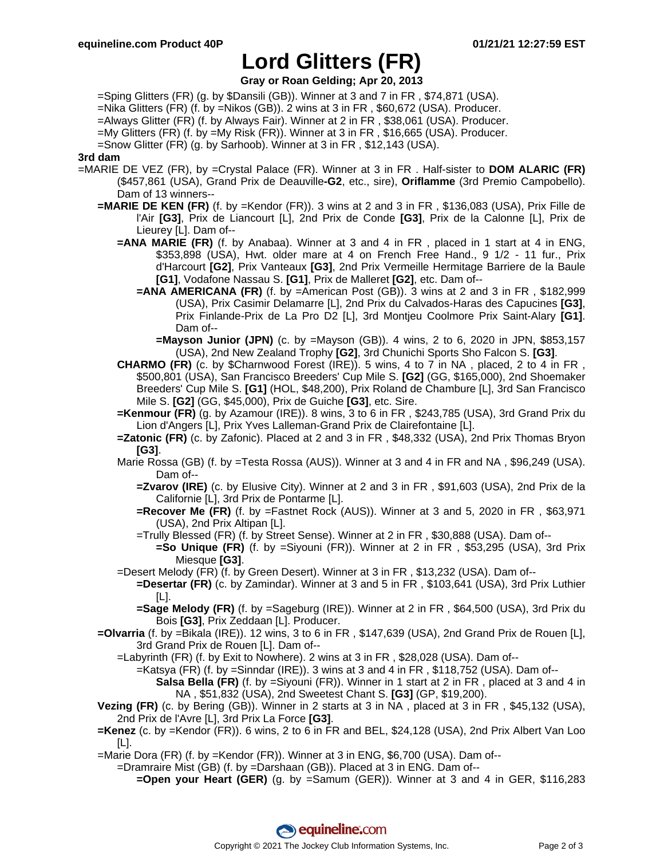## **Lord Glitters (FR)**

**Gray or Roan Gelding; Apr 20, 2013**

=Sping Glitters (FR) (g. by \$Dansili (GB)). Winner at 3 and 7 in FR , \$74,871 (USA).

=Nika Glitters (FR) (f. by =Nikos (GB)). 2 wins at 3 in FR , \$60,672 (USA). Producer.

=Always Glitter (FR) (f. by Always Fair). Winner at 2 in FR , \$38,061 (USA). Producer.

=My Glitters (FR) (f. by =My Risk (FR)). Winner at 3 in FR , \$16,665 (USA). Producer.

=Snow Glitter (FR) (g. by Sarhoob). Winner at 3 in FR , \$12,143 (USA).

### **3rd dam**

- =MARIE DE VEZ (FR), by =Crystal Palace (FR). Winner at 3 in FR . Half-sister to **DOM ALARIC (FR)** (\$457,861 (USA), Grand Prix de Deauville**-G2**, etc., sire), **Oriflamme** (3rd Premio Campobello). Dam of 13 winners--
	- **=MARIE DE KEN (FR)** (f. by =Kendor (FR)). 3 wins at 2 and 3 in FR , \$136,083 (USA), Prix Fille de l'Air **[G3]**, Prix de Liancourt [L], 2nd Prix de Conde **[G3]**, Prix de la Calonne [L], Prix de Lieurey [L]. Dam of--
		- **=ANA MARIE (FR)** (f. by Anabaa). Winner at 3 and 4 in FR , placed in 1 start at 4 in ENG, \$353,898 (USA), Hwt. older mare at 4 on French Free Hand., 9 1/2 - 11 fur., Prix d'Harcourt **[G2]**, Prix Vanteaux **[G3]**, 2nd Prix Vermeille Hermitage Barriere de la Baule **[G1]**, Vodafone Nassau S. **[G1]**, Prix de Malleret **[G2]**, etc. Dam of--
			- **=ANA AMERICANA (FR)** (f. by =American Post (GB)). 3 wins at 2 and 3 in FR , \$182,999 (USA), Prix Casimir Delamarre [L], 2nd Prix du Calvados-Haras des Capucines **[G3]**, Prix Finlande-Prix de La Pro D2 [L], 3rd Montjeu Coolmore Prix Saint-Alary **[G1]**. Dam of--
				- **=Mayson Junior (JPN)** (c. by =Mayson (GB)). 4 wins, 2 to 6, 2020 in JPN, \$853,157 (USA), 2nd New Zealand Trophy **[G2]**, 3rd Chunichi Sports Sho Falcon S. **[G3]**.
		- **CHARMO (FR)** (c. by \$Charnwood Forest (IRE)). 5 wins, 4 to 7 in NA , placed, 2 to 4 in FR , \$500,801 (USA), San Francisco Breeders' Cup Mile S. **[G2]** (GG, \$165,000), 2nd Shoemaker Breeders' Cup Mile S. **[G1]** (HOL, \$48,200), Prix Roland de Chambure [L], 3rd San Francisco Mile S. **[G2]** (GG, \$45,000), Prix de Guiche **[G3]**, etc. Sire.
		- **=Kenmour (FR)** (g. by Azamour (IRE)). 8 wins, 3 to 6 in FR , \$243,785 (USA), 3rd Grand Prix du Lion d'Angers [L], Prix Yves Lalleman-Grand Prix de Clairefontaine [L].
		- **=Zatonic (FR)** (c. by Zafonic). Placed at 2 and 3 in FR , \$48,332 (USA), 2nd Prix Thomas Bryon **[G3]**.
		- Marie Rossa (GB) (f. by =Testa Rossa (AUS)). Winner at 3 and 4 in FR and NA , \$96,249 (USA). Dam of--
			- **=Zvarov (IRE)** (c. by Elusive City). Winner at 2 and 3 in FR , \$91,603 (USA), 2nd Prix de la Californie [L], 3rd Prix de Pontarme [L].
			- **=Recover Me (FR)** (f. by =Fastnet Rock (AUS)). Winner at 3 and 5, 2020 in FR , \$63,971 (USA), 2nd Prix Altipan [L].

=Trully Blessed (FR) (f. by Street Sense). Winner at 2 in FR , \$30,888 (USA). Dam of--

- **=So Unique (FR)** (f. by =Siyouni (FR)). Winner at 2 in FR , \$53,295 (USA), 3rd Prix Miesque **[G3]**.
- =Desert Melody (FR) (f. by Green Desert). Winner at 3 in FR , \$13,232 (USA). Dam of--
	- **=Desertar (FR)** (c. by Zamindar). Winner at 3 and 5 in FR , \$103,641 (USA), 3rd Prix Luthier [L].
	- **=Sage Melody (FR)** (f. by =Sageburg (IRE)). Winner at 2 in FR , \$64,500 (USA), 3rd Prix du Bois **[G3]**, Prix Zeddaan [L]. Producer.
- **=Olvarria** (f. by =Bikala (IRE)). 12 wins, 3 to 6 in FR , \$147,639 (USA), 2nd Grand Prix de Rouen [L], 3rd Grand Prix de Rouen [L]. Dam of--
	- =Labyrinth (FR) (f. by Exit to Nowhere). 2 wins at 3 in FR , \$28,028 (USA). Dam of--
		- =Katsya (FR) (f. by =Sinndar (IRE)). 3 wins at 3 and 4 in FR , \$118,752 (USA). Dam of--
			- **Salsa Bella (FR)** (f. by =Siyouni (FR)). Winner in 1 start at 2 in FR, placed at 3 and 4 in NA , \$51,832 (USA), 2nd Sweetest Chant S. **[G3]** (GP, \$19,200).
- **Vezing (FR)** (c. by Bering (GB)). Winner in 2 starts at 3 in NA , placed at 3 in FR , \$45,132 (USA), 2nd Prix de l'Avre [L], 3rd Prix La Force **[G3]**.
- **=Kenez** (c. by =Kendor (FR)). 6 wins, 2 to 6 in FR and BEL, \$24,128 (USA), 2nd Prix Albert Van Loo [L].
- =Marie Dora (FR) (f. by =Kendor (FR)). Winner at 3 in ENG, \$6,700 (USA). Dam of--
	- =Dramraire Mist (GB) (f. by =Darshaan (GB)). Placed at 3 in ENG. Dam of--
		- **=Open your Heart (GER)** (g. by =Samum (GER)). Winner at 3 and 4 in GER, \$116,283